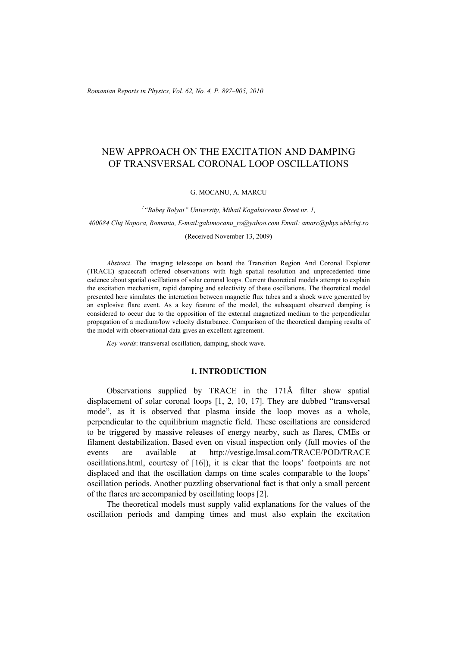*Romanian Reports in Physics, Vol. 62, No. 4, P. 897–905, 2010*

# NEW APPROACH ON THE EXCITATION AND DAMPING OF TRANSVERSAL CORONAL LOOP OSCILLATIONS

### G. MOCANU, A. MARCU

*1 "Babeş Bolyai" University, Mihail Kogalniceanu Street nr. 1,* 

*400084 Cluj Napoca, Romania, E-mail:gabimocanu\_ro@yahoo.com Email: amarc@phys.ubbcluj.ro* 

#### (Received November 13, 2009)

*Abstract*. The imaging telescope on board the Transition Region And Coronal Explorer (TRACE) spacecraft offered observations with high spatial resolution and unprecedented time cadence about spatial oscillations of solar coronal loops. Current theoretical models attempt to explain the excitation mechanism, rapid damping and selectivity of these oscillations. The theoretical model presented here simulates the interaction between magnetic flux tubes and a shock wave generated by an explosive flare event. As a key feature of the model, the subsequent observed damping is considered to occur due to the opposition of the external magnetized medium to the perpendicular propagation of a medium/low velocity disturbance. Comparison of the theoretical damping results of the model with observational data gives an excellent agreement.

*Key words*: transversal oscillation, damping, shock wave.

### **1. INTRODUCTION**

Observations supplied by TRACE in the 171Å filter show spatial displacement of solar coronal loops [1, 2, 10, 17]. They are dubbed "transversal mode", as it is observed that plasma inside the loop moves as a whole, perpendicular to the equilibrium magnetic field. These oscillations are considered to be triggered by massive releases of energy nearby, such as flares, CMEs or filament destabilization. Based even on visual inspection only (full movies of the events are available at http://vestige.lmsal.com/TRACE/POD/TRACE oscillations.html, courtesy of [16]), it is clear that the loops' footpoints are not displaced and that the oscillation damps on time scales comparable to the loops' oscillation periods. Another puzzling observational fact is that only a small percent of the flares are accompanied by oscillating loops [2].

The theoretical models must supply valid explanations for the values of the oscillation periods and damping times and must also explain the excitation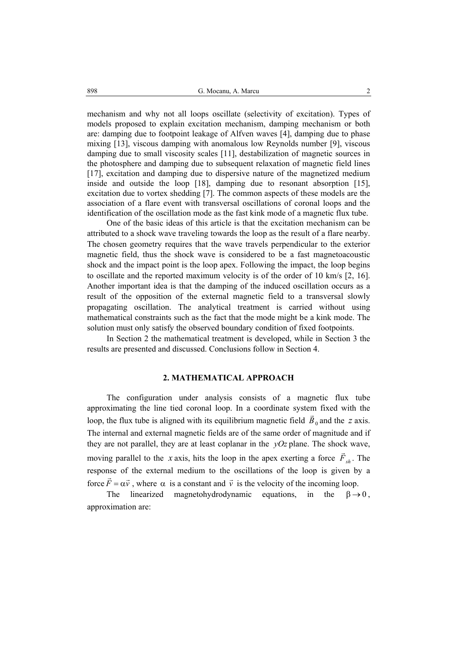mechanism and why not all loops oscillate (selectivity of excitation). Types of models proposed to explain excitation mechanism, damping mechanism or both are: damping due to footpoint leakage of Alfven waves [4], damping due to phase mixing [13], viscous damping with anomalous low Reynolds number [9], viscous damping due to small viscosity scales [11], destabilization of magnetic sources in the photosphere and damping due to subsequent relaxation of magnetic field lines [17], excitation and damping due to dispersive nature of the magnetized medium inside and outside the loop [18], damping due to resonant absorption [15], excitation due to vortex shedding [7]. The common aspects of these models are the association of a flare event with transversal oscillations of coronal loops and the identification of the oscillation mode as the fast kink mode of a magnetic flux tube.

One of the basic ideas of this article is that the excitation mechanism can be attributed to a shock wave traveling towards the loop as the result of a flare nearby. The chosen geometry requires that the wave travels perpendicular to the exterior magnetic field, thus the shock wave is considered to be a fast magnetoacoustic shock and the impact point is the loop apex. Following the impact, the loop begins to oscillate and the reported maximum velocity is of the order of 10 km/s [2, 16]. Another important idea is that the damping of the induced oscillation occurs as a result of the opposition of the external magnetic field to a transversal slowly propagating oscillation. The analytical treatment is carried without using mathematical constraints such as the fact that the mode might be a kink mode. The solution must only satisfy the observed boundary condition of fixed footpoints.

In Section 2 the mathematical treatment is developed, while in Section 3 the results are presented and discussed. Conclusions follow in Section 4.

# **2. MATHEMATICAL APPROACH**

The configuration under analysis consists of a magnetic flux tube approximating the line tied coronal loop. In a coordinate system fixed with the loop, the flux tube is aligned with its equilibrium magnetic field  $\vec{B}_0$  and the *z* axis. The internal and external magnetic fields are of the same order of magnitude and if they are not parallel, they are at least coplanar in the *yOz* plane. The shock wave, moving parallel to the *x* axis, hits the loop in the apex exerting a force  $\vec{F}_{sh}$ . The response of the external medium to the oscillations of the loop is given by a force  $\vec{F} = \alpha \vec{v}$ , where  $\alpha$  is a constant and  $\vec{v}$  is the velocity of the incoming loop.

The linearized magnetohydrodynamic equations, in the  $\beta \rightarrow 0$ , approximation are: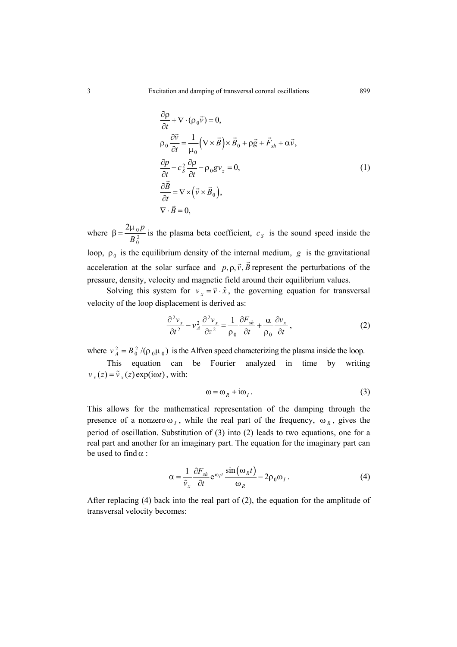$$
\frac{\partial \rho}{\partial t} + \nabla \cdot (\rho_0 \vec{v}) = 0,
$$
  
\n
$$
\rho_0 \frac{\partial \vec{v}}{\partial t} = \frac{1}{\mu_0} (\nabla \times \vec{B}) \times \vec{B}_0 + \rho \vec{g} + \vec{F}_{sh} + \alpha \vec{v},
$$
  
\n
$$
\frac{\partial \rho}{\partial t} - c_S^2 \frac{\partial \rho}{\partial t} - \rho_0 g v_z = 0,
$$
  
\n
$$
\frac{\partial \vec{B}}{\partial t} = \nabla \times (\vec{v} \times \vec{B}_0),
$$
  
\n
$$
\nabla \cdot \vec{B} = 0,
$$
\n(1)

where  $\beta = \frac{2\mu_0}{B_0^2}$  $2\mu_0 p$  $\beta = \frac{2\mu_0 p}{B_0^2}$  is the plasma beta coefficient,  $c_s$  is the sound speed inside the loop,  $\rho_0$  is the equilibrium density of the internal medium, *g* is the gravitational acceleration at the solar surface and  $p, \rho, \vec{v}, \vec{B}$  represent the perturbations of the pressure, density, velocity and magnetic field around their equilibrium values.

Solving this system for  $v_x = \vec{v} \cdot \hat{x}$ , the governing equation for transversal velocity of the loop displacement is derived as:

$$
\frac{\partial^2 v_x}{\partial t^2} - v_A^2 \frac{\partial^2 v_x}{\partial z^2} = \frac{1}{\rho_0} \frac{\partial F_{sh}}{\partial t} + \frac{\alpha}{\rho_0} \frac{\partial v_x}{\partial t},
$$
(2)

where  $v_A^2 = B_0^2 /(\rho_0 \mu_0)$  is the Alfven speed characterizing the plasma inside the loop.

This equation can be Fourier analyzed in time by writing  $v_r(z) = \tilde{v}_r(z) \exp(i\omega t)$ , with:

$$
\omega = \omega_R + i\omega_I. \tag{3}
$$

This allows for the mathematical representation of the damping through the presence of a nonzero  $\omega_I$ , while the real part of the frequency,  $\omega_R$ , gives the period of oscillation. Substitution of (3) into (2) leads to two equations, one for a real part and another for an imaginary part. The equation for the imaginary part can be used to find  $\alpha$  :

$$
\alpha = \frac{1}{\tilde{v}_x} \frac{\partial F_{sh}}{\partial t} e^{\omega_I t} \frac{\sin(\omega_R t)}{\omega_R} - 2\rho_0 \omega_I.
$$
 (4)

After replacing (4) back into the real part of (2), the equation for the amplitude of transversal velocity becomes: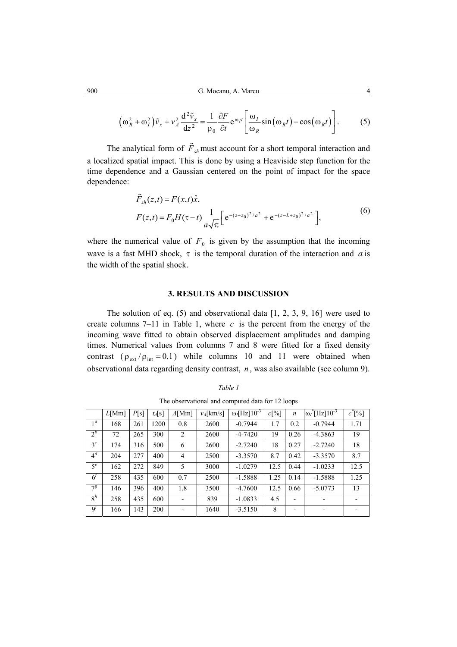$$
\left(\omega_R^2 + \omega_I^2\right)\tilde{v}_x + v_A^2 \frac{d^2 \tilde{v}_x}{dz^2} = \frac{1}{\rho_0} \frac{\partial F}{\partial t} e^{\omega_I t} \left[\frac{\omega_I}{\omega_R} \sin(\omega_R t) - \cos(\omega_R t)\right].
$$
 (5)

The analytical form of  $\vec{F}_{sh}$  must account for a short temporal interaction and a localized spatial impact. This is done by using a Heaviside step function for the time dependence and a Gaussian centered on the point of impact for the space dependence:

$$
\vec{F}_{sh}(z,t) = F(x,t)\hat{x},
$$
\n
$$
F(z,t) = F_0 H(\tau - t) \frac{1}{a\sqrt{\pi}} \Big[ e^{-(z-z_0)^2/a^2} + e^{-(z-L+z_0)^2/a^2} \Big],
$$
\n(6)

where the numerical value of  $F_0$  is given by the assumption that the incoming wave is a fast MHD shock,  $\tau$  is the temporal duration of the interaction and *a* is the width of the spatial shock.

## **3. RESULTS AND DISCUSSION**

The solution of eq. (5) and observational data [1, 2, 3, 9, 16] were used to create columns  $7-11$  in Table 1, where *c* is the percent from the energy of the incoming wave fitted to obtain observed displacement amplitudes and damping times. Numerical values from columns 7 and 8 were fitted for a fixed density contrast  $(\rho_{ext}/\rho_{int} = 0.1)$  while columns 10 and 11 were obtained when observational data regarding density contrast, *n* , was also available (see column 9).

The observational and computed data for 12 loops

|                | L[Mm] | P[s] | $t_d[s]$ | $A$ [Mm]       | $v_4$ [km/s] | $\omega_I$ [Hz] $10^{-3}$ | c[%] | $\boldsymbol{n}$ | $\overline{\omega_I}^*$ [Hz] $10^{-3}$ | $c^*[\%]$ |
|----------------|-------|------|----------|----------------|--------------|---------------------------|------|------------------|----------------------------------------|-----------|
| 1 <sup>a</sup> | 168   | 261  | 1200     | 0.8            | 2600         | $-0.7944$                 | 1.7  | 0.2              | $-0.7944$                              | 1.71      |
| $2^b$          | 72    | 265  | 300      | $\overline{2}$ | 2600         | $-4 - 7420$               | 19   | 0.26             | $-4.3863$                              | 19        |
| 3 <sup>c</sup> | 174   | 316  | 500      | 6              | 2600         | $-2.7240$                 | 18   | 0.27             | $-2.7240$                              | 18        |
| $4^d$          | 204   | 277  | 400      | $\overline{4}$ | 2500         | $-3.3570$                 | 8.7  | 0.42             | $-3.3570$                              | 8.7       |
| $5^e$          | 162   | 272  | 849      | 5              | 3000         | $-1.0279$                 | 12.5 | 0.44             | $-1.0233$                              | 12.5      |
| $\epsilon$     | 258   | 435  | 600      | 0.7            | 2500         | $-1.5888$                 | 1.25 | 0.14             | $-1.5888$                              | 1.25      |
| $7^g$          | 146   | 396  | 400      | 1.8            | 3500         | $-4.7600$                 | 12.5 | 0.66             | $-5.0773$                              | 13        |
| 8 <sup>h</sup> | 258   | 435  | 600      |                | 839          | $-1.0833$                 | 4.5  |                  |                                        |           |
| $\mathbf{Q}^l$ | 166   | 143  | 200      |                | 1640         | $-3.5150$                 | 8    |                  |                                        |           |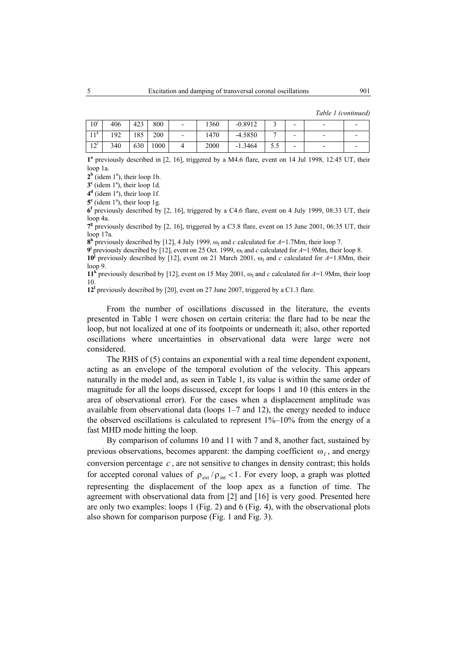|  | Table 1 (continued) |
|--|---------------------|
|  |                     |

| 10 <sup>j</sup> | 406 | 423 | 800  | $\overline{\phantom{0}}$ | 1360 | $-0.8912$ |     | $\overline{\phantom{0}}$ | $\overline{\phantom{0}}$ |  |
|-----------------|-----|-----|------|--------------------------|------|-----------|-----|--------------------------|--------------------------|--|
| 1.1k<br>ւ ւ     | 192 | 185 | 200  | -                        | 1470 | $-4.5850$ |     | $\overline{\phantom{0}}$ | $\overline{\phantom{0}}$ |  |
| 12 <sup>t</sup> | 340 | 630 | 1000 |                          | 2000 | $-1.3464$ | J.J | $\overline{\phantom{0}}$ | $\overline{\phantom{0}}$ |  |

**1a** previously described in [2, 16], triggered by a M4.6 flare, event on 14 Jul 1998, 12:45 UT, their loop 1a.

 $2^b$  (idem  $1^a$ ), their loop 1b.

 $3<sup>c</sup>$  (idem 1<sup>a</sup>), their loop 1d.

 $4^d$  (idem  $1^a$ ), their loop 1f.

 $5^e$  (idem  $1^a$ ), their loop 1g.

**6f** previously described by [2, 16], triggered by a C4.6 flare, event on 4 July 1999, 08:33 UT, their loop 4a.

7<sup>g</sup> previously described by [2, 16], triggered by a C3.8 flare, event on 15 June 2001, 06:35 UT, their loop 17a.

 $8<sup>h</sup>$  previously described by [12], 4 July 1999,  $\omega_I$  and *c* calculated for *A*=1.7Mm, their loop 7.

**9<sup>i</sup>** previously described by [12], event on 25 Oct. 1999,  $\omega_1$  and *c* calculated for  $A=1.9$ Mm, their loop 8. **10<sup>j</sup>** previously described by [12], event on 21 March 2001,  $\omega_I$  and *c* calculated for *A*=1.8Mm, their loop 9.

**11<sup>k</sup>** previously described by [12], event on 15 May 2001,  $\omega_1$  and *c* calculated for *A*=1.9Mm, their loop 10.

**12l** previously described by [20], event on 27 June 2007, triggered by a C1.3 flare.

From the number of oscillations discussed in the literature, the events presented in Table 1 were chosen on certain criteria: the flare had to be near the loop, but not localized at one of its footpoints or underneath it; also, other reported oscillations where uncertainties in observational data were large were not considered.

The RHS of (5) contains an exponential with a real time dependent exponent, acting as an envelope of the temporal evolution of the velocity. This appears naturally in the model and, as seen in Table 1, its value is within the same order of magnitude for all the loops discussed, except for loops 1 and 10 (this enters in the area of observational error). For the cases when a displacement amplitude was available from observational data (loops 1–7 and 12), the energy needed to induce the observed oscillations is calculated to represent  $1\%$ – $10\%$  from the energy of a fast MHD mode hitting the loop.

By comparison of columns 10 and 11 with 7 and 8, another fact, sustained by previous observations, becomes apparent: the damping coefficient  $\omega$ <sub>*i*</sub>, and energy conversion percentage *c* , are not sensitive to changes in density contrast; this holds for accepted coronal values of  $\rho_{ext}/\rho_{int}$  < 1. For every loop, a graph was plotted representing the displacement of the loop apex as a function of time. The agreement with observational data from [2] and [16] is very good. Presented here are only two examples: loops 1 (Fig. 2) and 6 (Fig. 4), with the observational plots also shown for comparison purpose (Fig. 1 and Fig. 3).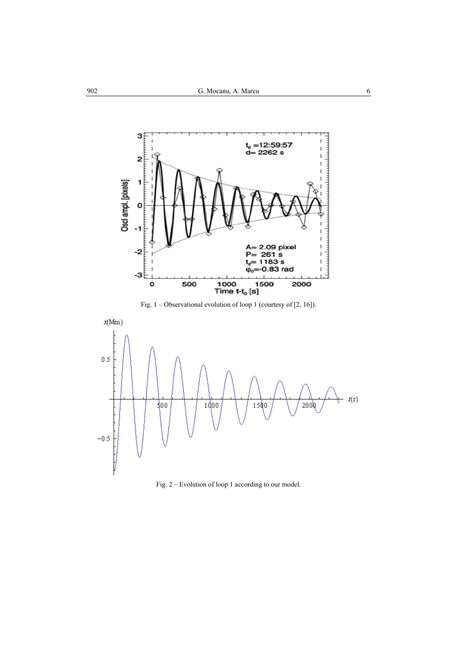

Fig. 1 – Observational evolution of loop 1 (courtesy of [2, 16]).



Fig. 2 – Evolution of loop 1 according to our model.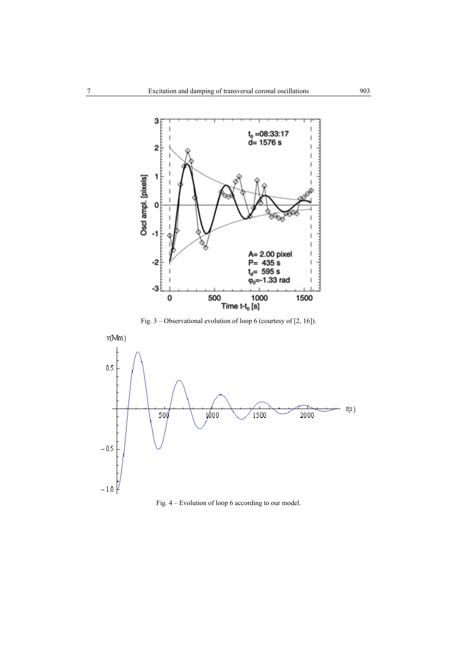

Fig. 3 – Observational evolution of loop 6 (courtesy of [2, 16]).



Fig. 4 – Evolution of loop 6 according to our model.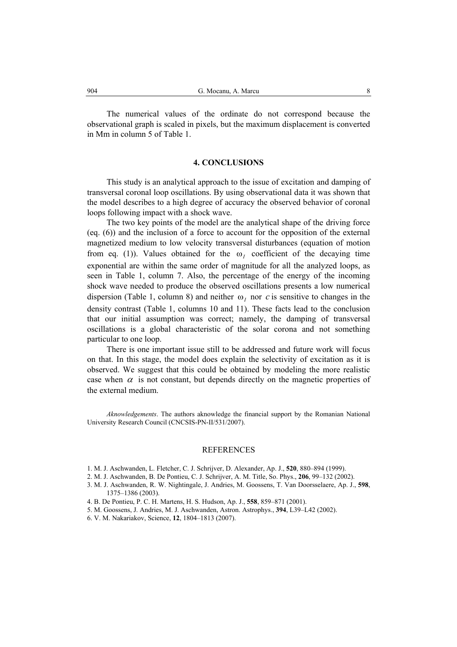The numerical values of the ordinate do not correspond because the observational graph is scaled in pixels, but the maximum displacement is converted in Mm in column 5 of Table 1.

### **4. CONCLUSIONS**

This study is an analytical approach to the issue of excitation and damping of transversal coronal loop oscillations. By using observational data it was shown that the model describes to a high degree of accuracy the observed behavior of coronal loops following impact with a shock wave.

The two key points of the model are the analytical shape of the driving force (eq. (6)) and the inclusion of a force to account for the opposition of the external magnetized medium to low velocity transversal disturbances (equation of motion from eq. (1)). Values obtained for the  $\omega_I$  coefficient of the decaying time exponential are within the same order of magnitude for all the analyzed loops, as seen in Table 1, column 7. Also, the percentage of the energy of the incoming shock wave needed to produce the observed oscillations presents a low numerical dispersion (Table 1, column 8) and neither  $\omega_I$  nor *c* is sensitive to changes in the density contrast (Table 1, columns 10 and 11). These facts lead to the conclusion that our initial assumption was correct; namely, the damping of transversal oscillations is a global characteristic of the solar corona and not something particular to one loop.

There is one important issue still to be addressed and future work will focus on that. In this stage, the model does explain the selectivity of excitation as it is observed. We suggest that this could be obtained by modeling the more realistic case when  $\alpha$  is not constant, but depends directly on the magnetic properties of the external medium.

*Aknowledgements*. The authors aknowledge the financial support by the Romanian National University Research Council (CNCSIS-PN-II/531/2007).

### REFERENCES

- 1. M. J. Aschwanden, L. Fletcher, C. J. Schrijver, D. Alexander, Ap. J., **520**, 880–894 (1999).
- 2. M. J. Aschwanden, B. De Pontieu, C. J. Schrijver, A. M. Title, So. Phys., **206**, 99–132 (2002).
- 3. M. J. Aschwanden, R. W. Nightingale, J. Andries, M. Goossens, T. Van Doorsselaere, Ap. J., **598**, 1375–1386 (2003).
- 4. B. De Pontieu, P. C. H. Martens, H. S. Hudson, Ap. J., **558**, 859–871 (2001).
- 5. M. Goossens, J. Andries, M. J. Aschwanden, Astron. Astrophys., **394**, L39–L42 (2002).
- 6. V. M. Nakariakov, Science, **12**, 1804–1813 (2007).